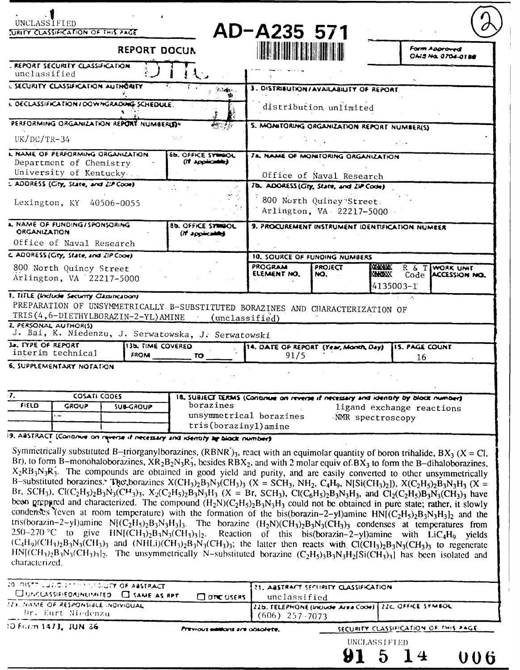| UNCLASS Ì FI ED<br><b>JURITY CLASSIFICATION OF THIS PAGE</b>                                                                                                                                     |                                             | AD-A235 571                                   |                                                      |                                                                                                                                    |  |
|--------------------------------------------------------------------------------------------------------------------------------------------------------------------------------------------------|---------------------------------------------|-----------------------------------------------|------------------------------------------------------|------------------------------------------------------------------------------------------------------------------------------------|--|
| <b>REPORT DOCUN</b>                                                                                                                                                                              |                                             | <b>HUTHER HE</b>                              |                                                      | <b>Form Approved</b><br><i><b>ONS No. 0704-0188</b></i>                                                                            |  |
| . REPORT SECURITY CLASSIFICATION<br>unclassified                                                                                                                                                 |                                             |                                               |                                                      |                                                                                                                                    |  |
| <b>. SECURITY CLASSIFICATION AUTHORITY</b><br>$L$ $\mathcal{L}$ $\mathcal{L}$                                                                                                                    |                                             | 3. DISTRIBUTION/AVAILABILITY OF REPORT        |                                                      |                                                                                                                                    |  |
| L DECLASSIFICATION/DOWNGRADING SCHEDULE.                                                                                                                                                         |                                             |                                               | distribution unlimited                               |                                                                                                                                    |  |
| PERFORMING ORGANIZATION REPORT NUMBER(S)*                                                                                                                                                        | 5. MONITORING ORGANIZATION REPORT NUMBER(S) |                                               |                                                      |                                                                                                                                    |  |
| $UK/DC/TR-34$                                                                                                                                                                                    |                                             |                                               |                                                      |                                                                                                                                    |  |
| L NAME OF PERFORMING ORGANIZATION<br>Department of Chemistry<br>University of Kentucky.                                                                                                          | 6b. OFFICE SYNNOL<br>(If applicately)       | <b>JA, NAME OF MONITORING ORGANIZATION</b>    | Office of Naval Research                             |                                                                                                                                    |  |
| L ADDRESS (City, State, and ZIP Cooe)<br>Lexington, KY 40506-0055                                                                                                                                |                                             | 7b. ADORESS (Gty, State, and ZIP Code)        | 800 North Quincy Street.<br>Arlington, VA 22217-5000 |                                                                                                                                    |  |
| <b>A. NAME OF FUNDING/SPONSORING</b><br>ORGANIZATION<br>Office of Naval Research                                                                                                                 | <b>Bb. OFFICE SYNNOL</b><br>(If applicable) |                                               |                                                      | 9. PROCUREMENT INSTRUMENT IDENTIFICATION NUMEER                                                                                    |  |
| c. ADORESS (City, State, and ZIP Cooe)                                                                                                                                                           |                                             | 10. SOURCE OF FUNDING NUMBERS                 |                                                      |                                                                                                                                    |  |
| 800 North Quincy Street<br>Arlington, VA 22217-5000                                                                                                                                              |                                             | <b>PROGRAM</b><br>ELEMENT NO.                 | <b>PROJECT</b><br>NO.                                | <b>ANYWK</b><br>R & TIWORK UNIT<br><b>ENGEX Code LACCESSION NO.</b><br>4135003-1                                                   |  |
| 1. TITLE (Include Security Classinczoon)<br>PREPARATION OF UNSYMMETRICALLY B-SUBSTITUTED BORAZINES AND CHARACTERIZATION OF<br>TRIS(4,6-DIETHYLBORAZIN-2-YL)AMINE<br><b>L. PERSONAL AUTHORISI</b> | (unclassified)                              |                                               |                                                      |                                                                                                                                    |  |
| J. Bai, K. Niedenzu, J. Serwatowska, J. Serwatowski                                                                                                                                              |                                             |                                               |                                                      |                                                                                                                                    |  |
| <b>J. TYPE OF REPORT</b><br>13b. TIME COVERED<br>interim technical<br><b>FROM</b>                                                                                                                | <b>TO</b>                                   | 14. DATE OF REPORT (Year, Month, Day)<br>91/5 |                                                      | <b>15. PAGE COUNT</b><br>16                                                                                                        |  |
| <b>6. SUPPLEMENTARY NOTATION</b>                                                                                                                                                                 |                                             |                                               |                                                      |                                                                                                                                    |  |
| 7.<br>COSATI CODES<br>FIELD<br><b>GROUP</b><br><b>SUB-GROUP</b><br>i.                                                                                                                            | borazines<br>tris(borazinyl) amine          | unsymmetrical borazines                       |                                                      | 18. SUBJECT TERMS (Continue on reverse if necessary and identify by block number)<br>ligand exchange reactions<br>NMR spectroscopy |  |

**9. ABSTR.ACT LCO-ninu ort ,f~w nocenaey ind** *Keaty Ar* **&bock** *rxmmber*

Symmetrically substituted B-triorganylborazines, (RBNR')<sub>3</sub>, react with an equimolar quantity of boron trihalide, BX<sub>3</sub> (X = Cl,<br>Br), to form B-monohaloborazines,  $XR_2B_2N_3R_3$ , besides RBX<sub>2</sub>, and with 2 molar equiv of condenses (even at room temperature) with the formation of the bis(borazin-2-yl)amine  $HN[(C_2H_5)_2B_3N_3H_3]_2$  and the tris(borazin-2-yl)amine  $N[(C_2H_5)_2B_3N_3H_3]_3$ . The borazine  $(H_2N)(CH_3)_2B_3N_3(CH_3)_3$  condenses at temperatures from 250-270 °C to give  $HN[(CH_3)_2B_3N_3(CH_3)_3]_2$ . Reaction of this bis(borazin-2-yl)amine with  $LiC_4H_9$  yiel  $(C_4H_9)(CH_3)_2B_3N_3(CH_3)_3$  and  $(NHLi)(CH_3)_2B_3N_3(CH_3)_3$ ; the latter then reacts with Cl(CH<sub>3</sub>)<sub>2</sub>B<sub>3</sub>N<sub>3</sub>(CH<sub>3</sub>)<sub>3</sub> to regenerate HN[(CH<sub>3</sub>)<sub>2</sub>B<sub>3</sub>N<sub>3</sub>(CH<sub>3</sub>)<sub>3</sub>] to regenerate HN[(CH<sub>3</sub>)<sub>2</sub>B<sub>3</sub>N<sub>3</sub>(CH<sub>3</sub>)<sub>3</sub>] has been isola characterized.

| 20 DISTRIBUTION TO DESCRIPTION ABSTRACT<br>CUMCUSSIFIEDAUNUMITED C SAME AS RPT | $\Box$ one users                | 21. ABSTRACT SECURITY CLASSIFICATION<br>unclassified                        |                                       |              |  |
|--------------------------------------------------------------------------------|---------------------------------|-----------------------------------------------------------------------------|---------------------------------------|--------------|--|
| <b>223. NAME OF RESPONSIBLE INDIVIDUAL</b><br>Dr. Kurt Niedenzu                |                                 | 22b. TELEPHONE (Include Area Code) 22c. OFFICE SYMBOL<br>$(606)$ 257 - 7073 |                                       |              |  |
| 10 Form 1473, JUN 36                                                           | Previous electors are obsolete. |                                                                             | SECURITY CLASSIFICATION OF THIS PAGE. |              |  |
|                                                                                |                                 |                                                                             |                                       | UNCLASSIFIED |  |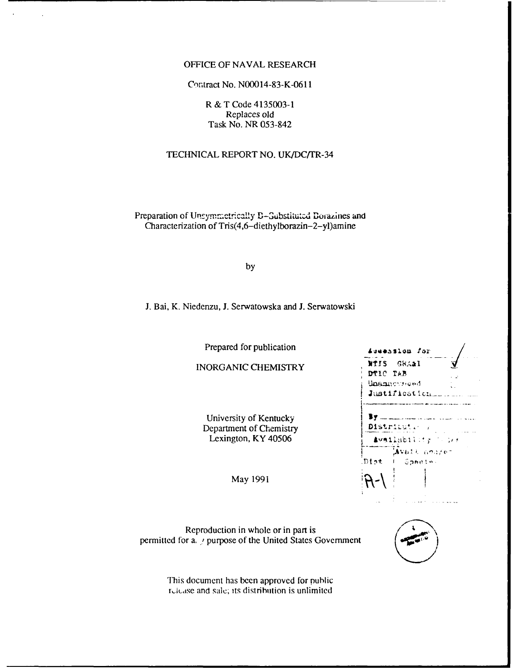#### OFFICE OF NAVAL RESEARCH

## Contract No. N00014-83-K-0611

R & T Code 4135003-1 Replaces old Task No. NR 053-842

# TECHNICAL REPORT NO. UK/DC/TR-34

Preparation of Unsymmetrically B-Substituted Dorazines and Characterization of Tris(4,6-diethylborazin-2-yl)amine

by

**J.** Bai, K. Niedenzu, **J.** Serwatowska and **J.** Serwatowski

Prepared for publication

**INORGANIC CHEMISTRY** 

University of Kentucky Department of Chemistry Lexington, KY 40506

May 1991

Reproduction in whole or in part is permitted for a. **!** purpose of the United States Government

> This document has been approved for public r, lease and sale; its distribution is unlimited

| DTIC TAB<br>Unamermond |                           |  |
|------------------------|---------------------------|--|
|                        |                           |  |
|                        |                           |  |
| Justification          |                           |  |
|                        | Availability (Cire        |  |
|                        | Avatt soure-<br>- Spedie: |  |
| Dist                   |                           |  |



ووسوا والمنادر والمواديات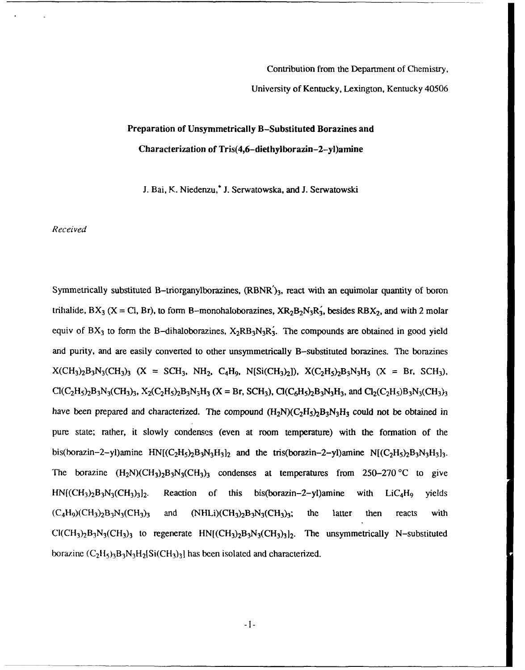Contribution from the Department of Chemistry,

University of Kentucky, Lexington, Kentucky 40506

# Preparation of Unsymmetrically B-Substituted Borazines and Characterization of Tris(4,6-diethylborazin-2-yl)amine

**J.** Bai, K. Niedenzu,\* **J.** Serwatowska, and **J.** Serwatowski

*Received*

Symmetrically substituted B-triorganylborazines,  $(RBNR')_3$ , react with an equimolar quantity of boron trihalide,  $BX_3$  (X = Cl, Br), to form B-monohaloborazines,  $XR_2B_2N_3R_3$ , besides  $RBX_2$ , and with 2 molar equiv of BX<sub>3</sub> to form the B-dihaloborazines,  $X_2RB_3N_3R_3$ . The compounds are obtained in good yield and purity, and are easily converted to other unsymmetrically B-substituted borazines. The borazines  $X(CH_3)_2B_3N_3(CH_3)_3$  (X = SCH<sub>3</sub>, NH<sub>2</sub>, C<sub>4</sub>H<sub>9</sub>, N[Si(CH<sub>3</sub>)<sub>2</sub>]),  $X(C_2H_5)_2B_3N_3H_3$  (X = Br, SCH<sub>3</sub>),  $Cl(C_2H_5)_2B_3N_3(CH_3)_3$ ,  $X_2(C_2H_5)_2B_3N_3H_3$   $(X = Br, SCH_3)$ ,  $Cl(C_6H_5)_2B_3N_3H_3$ , and  $Cl_2(C_2H_5)_3N_3(CH_3)_3$ have been prepared and characterized. The compound  $(H_2N)(C_2H_5)_2B_3N_3H_3$  could not be obtained in pure state; rather, it slowly condenses (even at room temperature) with the formation of the bis(borazin-2-yl)amine  $HN[(C_2H_5)_2B_3N_3H_3]_2$  and the tris(borazin-2-yl)amine  $N[(C_2H_5)_2B_3N_3H_3]_3$ . The borazine  $(H_2N)(CH_3)_2B_3N_3(CH_3)_3$  condenses at temperatures from 250-270 °C to give **HNf(CH3)2B3N3(CH3)312.** Reaction of this bis(borazin-2-yl)amine with LiC4H9 yields  $(C_4H_9)(CH_3)_2B_3N_3(CH_3)_3$  and  $(NHLi)(CH_3)_2B_3N_3(CH_3)_3$ ; the latter then reacts with  $Cl(CH_3)_2B_3N_3(CH_3)_3$  to regenerate  $HN[(CH_3)_2B_3N_3(CH_3)_1]$ . The unsymmetrically N-substituted borazine  $(C_2H_5)$ <sub>3</sub>B<sub>3</sub>N<sub>3</sub>H<sub>2</sub>[Si(CH<sub>3</sub>)<sub>3</sub>] has been isolated and characterized.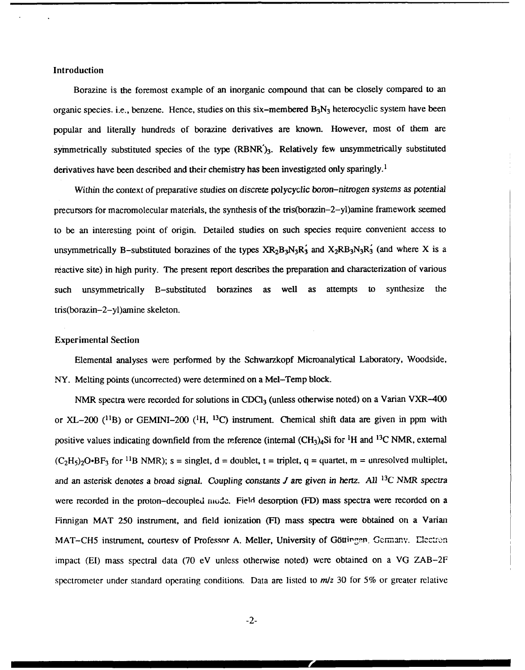#### Introduction

Borazine is the foremost example of an inorganic compound that can be closely compared to an organic species. i.e., benzene. Hence, studies on this six-membered  $B_3N_3$  heterocyclic system have been popular and literally hundreds of borazine derivatives are known. However, most of them are symmetrically substituted species of the type (RBNR')3. Relatively few unsymmetrically substituted derivatives have been described and their chemistry has been investigated only sparingly.'

Within the context of preparative studies on *discrete polycyclic boron-nitrogen systems as potential* precursors for macromolecular materials, the synthesis of the tris(borazin-2-yl)amine framework seemed to be an interesting point of origin. Detailed studies on such species require convenient access to unsymmetrically B-substituted borazines of the types  $XR_2B_3N_3R_3$  and  $X_2RB_3N_3R_3$  (and where X is a reactive site) in high purity. The present report describes the preparation and characterization of various such unsymmetrically B-substituted borazines as well as attempts to synthesize the tris(borazin-2-yl)amine skeleton.

#### Experimental Section

Elemental analyses were performed by the Schwarzkopf Microanalytical Laboratory, Woodside, NY. Melting points (uncorrected) were determined on a Mel-Temp block.

NMR spectra were recorded for solutions in CDCl<sub>3</sub> (unless otherwise noted) on a Varian VXR-400 or XL-200 (11B) or GEMINI-200 ('H, **<sup>13</sup> C)** instrument. Chemical shift data are given in ppm with positive values indicating downfield from the reference (internal (CH3)4Si for 'H and **1 3C** NMR, external  $(C_2H_5)_2O$  BF<sub>3</sub> for <sup>11</sup>B NMR); s = singlet, d = doublet, t = triplet, q = quartet, m = unresolved multiplet and an asterisk denotes a broad signal. Coupling *constants J* are *given in hertz. All* **13C** NMR *spectra* were recorded in the proton-decoupled mode. Field desorption (FD) mass spectra were recorded on a Finnigan MAT 250 instrument, and field ionization (FI) mass spectra were obtained on a Varian MAT-CH5 instrument, courtesy of Professor A. Meller, University of Göttingen, Germany. Electron impact (El) mass spectral data (70 eV unless otherwise noted) were obtained on a **VG** ZAB-2F spectrometer under standard operating conditions. Data are listed to *m/z* 30 for 5% or greater relative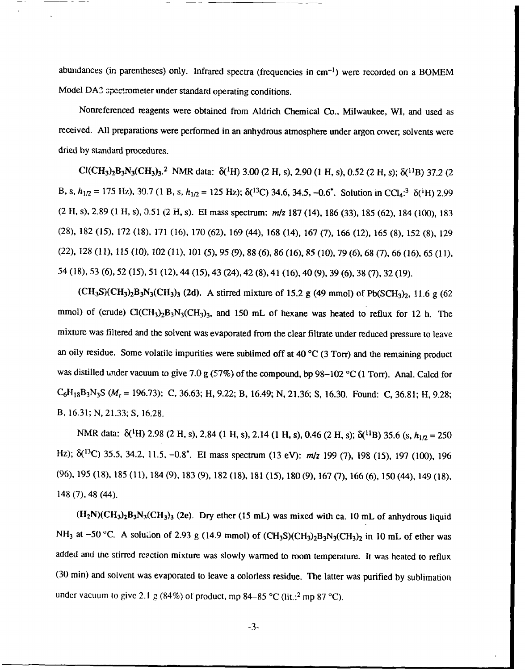abundances (in parentheses) only. Infrared spectra (frequencies in cm<sup>-1</sup>) were recorded on a BOMEM Model DA2 spectrometer under standard operating conditions.

Nonreferenced reagents were obtained from Aldrich Chemical Co., Milwaukee, WI, and used as received. All preparations were performed in an anhydrous atmosphere under argon cover, solvents were dried by standard procedures.

 $Cl(CH_3)_2B_3N_3(CH_3)_3.$ <sup>2</sup> NMR data:  $\delta(^1H)$  3.00 (2 H, s), 2.90 (1 H, s), 0.52 (2 H, s);  $\delta(^{11}B)$  37.2 (2 B, s,  $h_{1/2} = 175$  Hz), 30.7 (1 B, s,  $h_{1/2} = 125$  Hz);  $\delta(^{13}C)$  34.6, 34.5, -0.6<sup>\*</sup>. Solution in CCl<sub>4</sub><sup>.3</sup>  $\delta(^{1}H)$  2.99 (2 H, s), 2.89 (1 H, s), 0.51 (2 H, s). El mass spectrum: m/z 187 (14), 186 (33), 185 (62), 184 (100), 183 (28), 182 (15), 172 (18), 171 (16), 170 (62), 169 (44), 168 (14), 167 (7), 166 (12), 165 (8), 152 (8), 129 (22), 128 (11), 115 (10), 102 (11), 101 (5), 95 (9), 88 (6), 86 (16), 85 (10), 79 (6), 68 (7), 66 (16), 65 (11), 54 (18), 53 (6), 52 (15), 51 (12), 44 (15), 43 (24), 42 (8), 41 (16), 40 (9), 39 (6), 38 (7), 32 (19).

 $(CH_3S)(CH_3)_2B_3N_3(CH_3)_3$  (2d). A stirred mixture of 15.2 g (49 mmol) of Pb(SCH<sub>3</sub>)<sub>2</sub>, 11.6 g (62) mmol) of (crude)  $Cl(CH_3)_2B_3N_3(CH_3)_3$ , and 150 mL of hexane was heated to reflux for 12 h. The mixture was filtered and the solvent was evaporated from the clear filtrate under reduced pressure to leave an oily residue. Some volatile impurities were sublimed off at 40 **'C** (3 Torr) and the remaining product was distilled under vacuum to give 7.0 g (57%) of the compound, bp 98-102 **°C** (1 Torr). Anal. Calcd for C6H18B3N3S *(Mr* = 196.73): C, 36.63; H, 9.22; B, 16.49; N, 21.36; **S,** 16.30. Found: C, 36.81; H, 9.28; B, 16.31; N, 21.33; **S,** 16.28.

NMR data:  $\delta^{(1)}$ H) 2.98 (2 H, s), 2.84 (1 H, s), 2.14 (1 H, s), 0.46 (2 H, s);  $\delta^{(11)}$ B) 35.6 (s,  $h_{1/2} = 250$ Hz);  $\delta^{(13)}$ C) 35.5, 34.2, 11.5, -0.8<sup>\*</sup>. El mass spectrum (13 eV): *m/z* 199 (7), 198 (15), 197 (100), 196 (96), 195 (18), 185 (11), 184 (9), 183 (9), 182 (18), 181 (15), 180 (9), 167 (7), 166 (6), 150 (44), 149 (18), 148 (7), 48 (44).

 $(H_2N)(CH_3)_2B_3N_3(CH_3)_3$  (2e). Dry ether (15 mL) was mixed with ca. 10 mL of anhydrous liquid NH<sub>3</sub> at -50 °C. A solution of 2.93 g (14.9 mmol) of (CH<sub>3</sub>S)(CH<sub>3</sub>)<sub>2</sub>B<sub>3</sub>N<sub>3</sub>(CH<sub>3</sub>)<sub>2</sub> in 10 mL of ether was added and the stirred reaction mixture was slowly warmed to room temperature. It was heated to reflux (30 min) and solvent was evaporated to leave a colorless residue. The latter was purified by sublimation under vacuum to give 2.1 g (84%) of product, mp 84-85 °C (lit.: <sup>2</sup> mp 87 °C).

-3-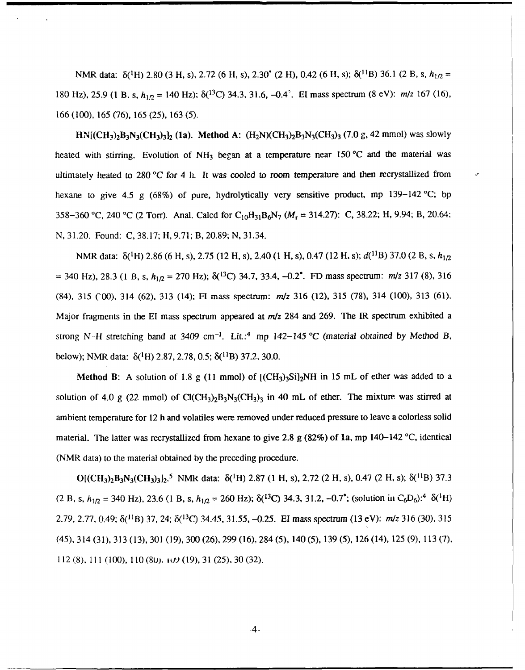NMR data:  $\delta({}^{1}H)$  2.80 (3 H, s), 2.72 (6 H, s), 2.30<sup>\*</sup> (2 H), 0.42 (6 H, s);  $\delta({}^{11}B)$  36.1 (2 B, s,  $h_{1/2}$  = 180 Hz), 25.9 (1 B. s,  $h_{1/2} = 140$  Hz);  $\delta^{(13)}C$  34.3, 31.6, -0.4<sup>2</sup>. El mass spectrum (8 eV):  $m/z$  167 (16), 166 (100), 165 (76), 165 (25), 163 (5).

 $HN[(CH_3)_2B_3N_3(CH_3)_3]$  (1a). Method A:  $(H_2N)(CH_3)_2B_3N_3(CH_3)_3$  (7.0 g, 42 mmol) was slowly heated with stirring. Evolution of  $NH_3$  began at a temperature near 150 °C and the material was ultimately heated to 280 *'C* for 4 h. It was cooled to room temperature and then recrystallized from hexane to give 4.5 g (68%) of pure, hydrolytically very sensitive product, mp 139-142 **'C;** bp 358-360 °C, 240 °C (2 Torr). Anal. Calcd for C<sub>10</sub>H<sub>31</sub>B<sub>6</sub>N<sub>7</sub> ( $M_r$  = 314.27): C, 38.22; H, 9.94; B, 20.64: N, 31.20. Found: C, 38.17; H, 9.71; B, 20.89; N, 31.34.

NMR data: δ(<sup>1</sup>H) 2.86 (6 H, s), 2.75 (12 H, s), 2.40 (1 H, s), 0.47 (12 H, s); *d*(<sup>11</sup>B) 37.0 (2 B, s, *h*<sub>1/2</sub>  $= 340$  Hz), 28.3 (1 B, s,  $h_{1/2} = 270$  Hz);  $\delta(^{13}C)$  34.7, 33.4,  $-0.2^*$ . FD mass spectrum:  $m/z$  317 (8), 316 (84), 315 COO), 314 (62), 313 (14); H mass spectrum: *m/z* 316 (12), 315 (78), 314 (100), 313 (61). Major fragments in the El mass spectrum appeared at *m/z* 284 and 269. The IR spectrum exhibited a strong **N-H** stretching band at 3409 cm -1 . Lit.:4 mp *142-145* °C (material *obtained* by Method *B,* below); NMR data:  $\delta(^1H)$  2.87, 2.78, 0.5;  $\delta(^{11}B)$  37.2, 30.0.

Method B: A solution of 1.8 g (11 mmol) of  $[(CH<sub>3</sub>)<sub>3</sub>Si]<sub>2</sub>NH$  in 15 mL of ether was added to a solution of 4.0 g (22 mmol) of  $Cl(CH_3)_2B_3N_3(CH_3)_3$  in 40 mL of ether. The mixture was stirred at ambient temperature for 12 h and volatiles were removed under reduced pressure to leave a colorless solid material. The latter was recrystallized from hexane to give 2.8 g (82%) of la, mp 140-142 **'C,** identical (NMR data) to the material obtained by the preceding procedure.

 $O[(CH_3)_2B_3N_3(CH_3)_3]_2$ <sup>5</sup> NMR data:  $\delta(^1H)$  2.87 (1 H, s), 2.72 (2 H, s), 0.47 (2 H, s);  $\delta(^{11}B)$  37.3 (2 B, s, *h1/2* = 340 Hz), 23.6 (1 B, s, *h1/2* = 260 Hz); **8(13C)** 34.3, 31.2, -0.7\*; (solution in C6D6):<sup>4</sup>**61H)** 2.79, 2.77, 0.49; 6Q1B) 37, 24; **5(3C)** 34.45, 31.55, -0.25. El mass spectrum (13 eV): *m/z* 316 (30), 315 (45), 314 (31), 313 (13), 301 (19), **300** (26), 299 (16), 284 (5), 140 (5), 139 (5), 126 (14), 125 (9), 113 (7), **112 (8), 111 (100), 110 (8u),, itf (19), 31 (25), 30 (32).**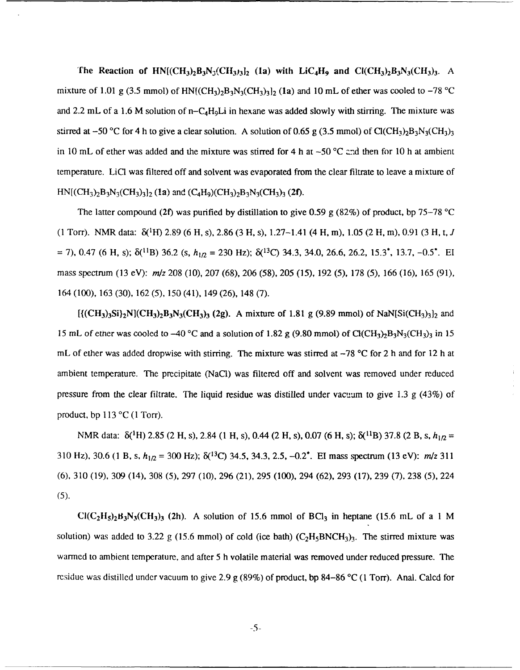The Reaction of  $HN[(CH_3)_2B_3N_3(CH_3)_2]$  (1a) with  $LiC_4H_9$  and  $Cl(CH_3)_2B_3N_3(CH_3)_3$ . A mixture of 1.01 g (3.5 mmol) of  $HN[(CH_3)_2B_3N_3(CH_3)_3]_2$  (1a) and 10 mL of ether was cooled to  $-78$  °C and 2.2 mL of a 1.6 M solution of n-C<sub>4</sub>H<sub>9</sub>Li in hexane was added slowly with stirring. The mixture was stirred at  $-50$  °C for 4 h to give a clear solution. A solution of 0.65 g (3.5 mmol) of Cl(CH<sub>3</sub>)<sub>2</sub>B<sub>3</sub>N<sub>3</sub>(CH<sub>3</sub>)<sub>3</sub> in 10 mL of ether was added and the mixture was stirred for 4 h at  $-50$  °C and then for 10 h at ambient temperature. LiC1 was filtered off and solvent was evaporated from the clear filtrate to leave a mixture of  $HN[(CH<sub>3</sub>)<sub>2</sub>B<sub>3</sub>N<sub>3</sub>(CH<sub>3</sub>)<sub>3</sub>]$ <sub>2</sub> (1a) and  $(C<sub>4</sub>H<sub>9</sub>)(CH<sub>3</sub>)<sub>2</sub>B<sub>3</sub>N<sub>3</sub>(CH<sub>3</sub>)<sub>3</sub>$  (2f).

The latter compound **(2f)** was purified by distillation to give 0.59 g (82%) of product, bp 75-78 **'C**  $(1 \text{ Torr})$ . NMR data:  $\delta({}^{1}H)$  2.89 (6 H, s), 2.86 (3 H, s), 1.27-1.41 (4 H, m), 1.05 (2 H, m), 0.91 (3 H, t, *J*  $=$  7), 0.47 (6 H, s);  $\delta$ <sup>(11</sup>B) 36.2 (s,  $h_{1/2} = 230$  Hz);  $\delta$ <sup>(13</sup>C) 34.3, 34.0, 26.6, 26.2, 15.3<sup>\*</sup>, 13.7, -0.5<sup>\*</sup>. El mass spectrum (13 eV):  $m/z$  208 (10), 207 (68), 206 (58), 205 (15), 192 (5), 178 (5), 166 (16), 165 (91), 164 (100), 163 (30), 162 (5), 150 (41), 149 (26), 148 (7).

 $[{({CH}_3)_3Si}_2N]$  $(CH_3)_2B_3N_3(CH_3)_3$  (2g). A mixture of 1.81 g (9.89 mmol) of NaN[Si(CH<sub>3</sub>)<sub>3</sub>]<sub>2</sub> and 15 mL of ether was cooled to -40 °C and a solution of 1.82 g (9.80 mmol) of Cl(CH<sub>3</sub>)<sub>2</sub>B<sub>3</sub>N<sub>3</sub>(CH<sub>3</sub>)<sub>3</sub> in 15 mL of ether was added dropwise with stirring. The mixture was stirred at -78 °C for 2 h and for 12 h at ambient temperature. The precipitate (NaC1) was filtered off and solvent was removed under reduced pressure from the clear filtrate. The liquid residue was distilled under vacuum to give 1.3 g (43%) of product, bp  $113 \text{ °C}$  (1 Torr).

NMR data: δ(<sup>1</sup>H) 2.85 (2 H, s), 2.84 (1 H, s), 0.44 (2 H, s), 0.07 (6 H, s); δ(<sup>11</sup>B) 37.8 (2 B, s, *h<sub>1Ω</sub>* = 310 Hz), 30.6 (1 B, s, *h1/2* = 300 Hz); **8(13C)** 34.5, 34.3, 2.5, -0.2\*. **El** mass spectrum (13 eV): **m/z** <sup>311</sup> (6), 310 (19), 309 (14), 308 (5), 297 (10), 296 (21), 295 (100), 294 (62), 293 (17), 239 (7), 238 (5), 224 (5).

 $Cl(C_2H_5)_2B_3N_3CH_3$  (2h). A solution of 15.6 mmol of BCl<sub>3</sub> in heptane (15.6 mL of a 1 M solution) was added to 3.22 g (15.6 mmol) of cold (ice bath)  $(C_2H_5BNCH_3)$ . The stirred mixture was warmed to ambient temperature, and after 5 h volatile material was removed under reduced pressure. The residue was distilled under vacuum to give 2.9 g (89%) of product, bp 84-86 **'C** (1 Torr). Anal. Calcd for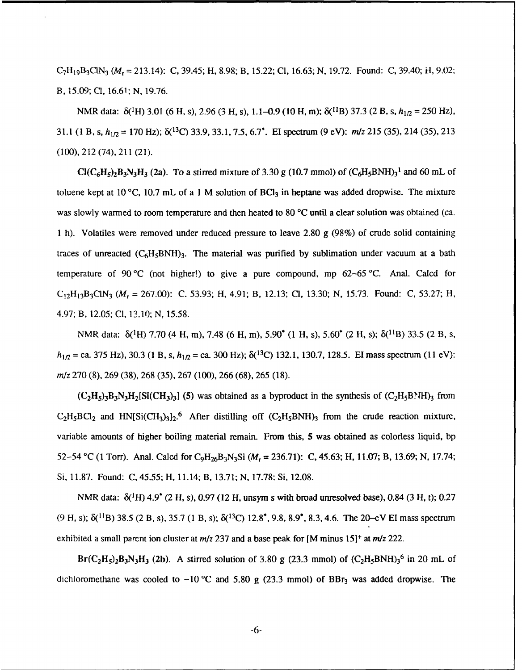C7H1 9B3CIN <sup>3</sup>*(Mr=* 213.14): C, 39.45; H, 8.98; B, 15.22; **Cl,** 16.63; N, 19.72. Found: C, 39.40; H, 9.02; B, 15.09; **Cl,** 16.61; N, 19.76.

NMR data: δ(<sup>1</sup>H) 3.01 (6 H, s), 2.96 (3 H, s), 1.1–0.9 (10 H, m); δ(<sup>11</sup>B) 37.3 (2 B, s, h<sub>1/2</sub> = 250 Hz), 31.1 (1 B, s, h1*12* = 170 Hz); **5(1<sup>3</sup> C)** 33.9, 33.1, 7.5, 6.7\*. El spectrum (9 eV): *m/z* 215 (35), 214 (35), 213 (100), 212 (74), 211 (21).

 $Cl(C_6H_5)_2B_3N_3H_3$  (2a). To a stirred mixture of 3.30 g (10.7 mmol) of  $(C_6H_5BNH)_3^1$  and 60 mL of toluene kept at 10 **'C,** 10.7 mL of a **I** M solution of BC13 in heptane was added dropwise. The mixture was slowly warmed to room temperature and then heated to 80 **'C** until a clear solution was obtained (ca. **I** h). Volatiles were removed under reduced pressure to leave 2.80 g (98%) of crude solid containing traces of unreacted  $(C_6H_5BNH)_3$ . The material was purified by sublimation under vacuum at a bath temperature of 90 **'C** (not higher!) to give a pure compound, mp 62-65 **'C.** Anal. Calcd for C12H13B3C1N <sup>3</sup>*(Mr* **=** 267.00): C. 53.93; **H,** 4.91; B, 12.13; **Cl,** 13.30; N, 15.73. Found: C, 53.27; H, 4.97; B, 12.05; **Cl,** 13.10; **N,** 15.58.

NMR data:  $\delta(^1H)$  7.70 (4 H, m), 7.48 (6 H, m), 5.90<sup>\*</sup> (1 H, s), 5.60<sup>\*</sup> (2 H, s);  $\delta(^{11}B)$  33.5 (2 B, s,  $h_{1/2}$  = ca. 375 Hz), 30.3 (1 B, s,  $h_{1/2}$  = ca. 300 Hz);  $\delta(^{13}C)$  132.1, 130.7, 128.5. **El mass spectrum (11 eV):** *m/z* 270 (8), 269 (38), 268 (35), 267 (100), 266 (68), 265 (18).

 $(C_2H_5)$ <sub>3</sub>B<sub>3</sub>N<sub>3</sub>H<sub>2</sub>[Si(CH<sub>3</sub>)<sub>3</sub>] (5) was obtained as a byproduct in the synthesis of  $(C_2H_5BNH)_3$  from  $C_2H_5BCl_2$  and HN[Si(CH<sub>3</sub>)<sub>3</sub>]<sub>2</sub>.<sup>6</sup> After distilling off (C<sub>2</sub>H<sub>5</sub>BNH)<sub>3</sub> from the crude reaction mixture, variable amounts of higher boiling material remain. From this, **5** was obtained as colorless liquid, bp 52-54 **'C** (1 Torr). Anal. Calcd for C9H26B 3N3Si *(Mr* = 236.71): C, 45.63; H, 11.07; B, 13.69; N, 17.74; Si, 11.87. Found: C, 45.55; H, 11.14; B, 13.71; N, 17.78: Si, 12.08.

NMR data: **5('H)** 4.9' (2 H, s), 0.97 (12 H, unsym s with broad unresolved base), 0.84 (3 H, t); 0.27 (9 H, s);  $\delta($ 1<sup>1</sup>B) 38.5 (2 B, s), 35.7 (1 B, s);  $\delta($ 1<sup>3</sup>C) 12.8<sup>\*</sup>, 9.8, 8.9<sup>\*</sup>, 8.3, 4.6. The 20–eV EI mass spectrum exhibited a small parent ion cluster at  $m/z$  237 and a base peak for [M minus 15]<sup>+</sup> at  $m/z$  222.

 $Br(C_2H_5)_2B_3N_3H_3$  (2b). A stirred solution of 3.80 g (23.3 mmol) of  $(C_2H_5BNH)_3^6$  in 20 mL of dichloromethane was cooled to  $-10$  °C and 5.80 g (23.3 mmol) of BBr<sub>3</sub> was added dropwise. The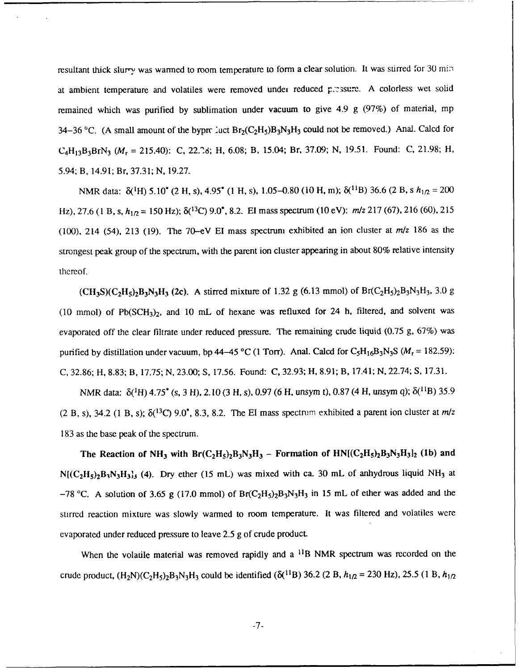resultant thick slurry was warmed to room temperature to form a clear solution. It was stirred for 30 min. at ambient temperature and volatiles were removed under reduced pressure. A colorless wet solid remained which was purified **by** sublimation under vacuum to give 4.9 g (97%) of material, mp 34-36 °C. (A small amount of the byprc luct  $Br_2(C_2H_5)B_3N_3H_3$  could not be removed.) Anal. Calcd for C4Hl 3B3BrN3 *(Mr* = 215.40): **C,** 22.28; H, 6.08; B, 15.04; Br, 37.09; **N,** 19.51. Found: C, 21.98; H, 5.94; B, 14.91; Br, 37.31; N, **19.27.**

NMR data:  $\delta(^{1}H)$  5.10<sup>\*</sup> (2 H, s), 4.95<sup>\*</sup> (1 H, s), 1.05–0.80 (10 H, m);  $\delta(^{11}B)$  36.6 (2 B, s  $h_{10} = 200$ Hz), 27.6 (1 B, s,  $h_{1/2} = 150$  Hz);  $\delta(^{13}C)$  9.0<sup>\*</sup>, 8.2. EI mass spectrum (10 eV):  $m/z$  217 (67), 216 (60), 215 (100), 214 (54), **213** (19). The 70-eV **El** mass spectrum exhibited an ion cluster at *m/z* **186** as the strongest peak group of the spectrum, with the parent ion cluster appearing in about 80% relative intensity thereof.

 $(CH_3S)(C_2H_5)_2B_3N_3H_3$  (2c). A stirred mixture of 1.32 g (6.13 mmol) of Br(C<sub>2</sub>H<sub>5</sub>)<sub>2</sub>B<sub>3</sub>N<sub>3</sub>H<sub>3</sub>, 3.0 g (10 mmol) of  $Pb(SCH_3)_2$ , and 10 mL of hexane was refluxed for 24 h, filtered, and solvent was evaporated off the clear filtrate under reduced pressure. The remaining crude liquid (0.75 g, 67%) was purified by distillation under vacuum, bp 44-45 °C (1 Torr). Anal. Calcd for  $C_5H_{16}B_3N_3S$  ( $M_r = 182.59$ ): C, 32.86; H, 8.83; B, 17.75; N, 23.00; S, 17.56. Found: **C,** 32.93; H, 8.91; B, 17.41; N, 22.74; S, 17.31.

NMR data: δ(<sup>1</sup>H) 4.75<sup>\*</sup> (s, 3 H), 2.10 (3 H, s), 0.97 (6 H, unsym t), 0.87 (4 H, unsym q); δ(<sup>11</sup>B) 35.9 (2 B, s), 34.2 (1 B, s);  $\delta$ <sup>(13</sup>C) 9.0<sup>\*</sup>, 8.3, 8.2. The EI mass spectrum exhibited a parent ion cluster at  $m/z$ 183 as the base peak of the spectrum.

The Reaction of NH<sub>3</sub> with  $Br(C_2H_5)_2B_3N_3H_3$  – Formation of  $HN[(C_2H_5)_2B_3N_3H_3]_2$  (1b) and  $N[(C_2H_5)_2B_3N_3H_3]$  (4). Dry ether (15 mL) was mixed with ca. 30 mL of anhydrous liquid NH<sub>3</sub> at  $-78$  °C. A solution of 3.65 g (17.0 mmol) of Br(C<sub>2</sub>H<sub>5</sub>)<sub>2</sub>B<sub>3</sub>N<sub>3</sub>H<sub>3</sub> in 15 mL of ether was added and the stirred reaction mixture was slowly warmed to room temperature. It was filtered and volatiles were evaporated under reduced pressure to leave 2.5 g of crude product.

When the volatile material was removed rapidly and a <sup>11</sup>B NMR spectrum was recorded on the crude product,  $(H_2N)(C_2H_5)$   $B_3N_3H_3$  could be identified  $(\delta(^{11}B)$  36.2 (2 B,  $h_{1/2}$  = 230 Hz), 25.5 (1 B,  $h_{1/2}$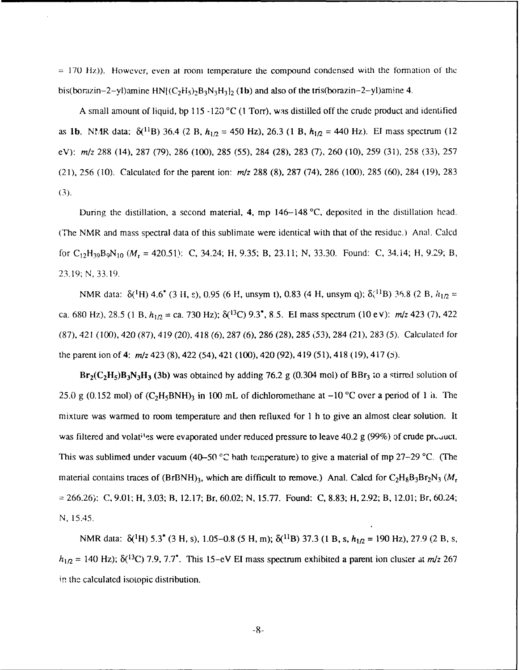$= 170$  Hz)). However, even at room temperature the compound condensed with the formation of the bis(borazin-2-yl)amine  $HN$ [ $(C_2H_5)$  $-B_3N_3H_3$ ]<sub>2</sub> (1b) and also of the tris(borazin-2-yl)amine 4.

**A** small amount of liquid, **bp 115** -120 **°C (1** Torr), **was** distilled off the crude product and identified as 1b. NMR data:  $\delta(^{11}B)$  36.4 (2 B,  $h_{1/2}$  = 450 Hz), 26.3 (1 B,  $h_{1/2}$  = 440 Hz). El mass spectrum (12 eV): *m/z* 288 (14), 287 (79), 286 (100), 285 (55), 284 (28), 283 (7), 260 (10), 259 (31), 258 (33), 257 (21), **256 (10).** Calculated for the parent ion: *m/z* **288 (8), 287** (74), **286 (100), 285 (60),** 284 **(19), 283** (3).

During the distillation, a second material, 4, mp 146-148 **'C,** deposited in the distillation head. (The NMR and mass spectral data of this sublimate were identical with that of the residue.) Anal. Calcd for C<sub>12</sub>H<sub>39</sub>B<sub>9</sub>N<sub>10</sub> ( $M_r$  = 420.51): C, 34.24; H, 9.35; B, 23.11; N, 33.30. Found: C, 34.14; H, 9.29; B, 23.19; N, 33.19.

NMR data:  $\delta$ <sup>(1</sup>H) 4.6<sup>\*</sup> (3 H, s), 0.95 (6 H, unsym t), 0.83 (4 H, unsym q);  $\delta$ <sup>(11</sup>B) 36.8 (2 B,  $h_{1/2}$  = ca. 680 Hz), 28.5 (1 B, *h1/2* = ca. 730 Hz); **8(13C)** 9.3, 8.5. **El** mass spectrum (10 eV): *m/z* 423 (7), 422 (87), 421 (100), 420 (87), 419 (20), 418 (6), 287 (6), 286 (28), 285 (53), 284 (21), 283 (5). Calculated for the parent ion of 4: *mrz* 423 (8), 422 (54), 421 (100), 420 (92), 419 (51), 418 (19), 417 **(5).**

 $Br_2(C_2H_5)B_3N_3H_3$  (3b) was obtained by adding 76.2 g (0.304 mol) of BBr<sub>3</sub> to a stirred solution of 25.0 g (0.152 mol) of  $(C_2H_5BNH)_3$  in 100 mL of dichloromethane at  $-10$  °C over a period of 1 ii. The mixture was warmed to room temperature and then refluxed for **I** h to give an almost clear solution. It was filtered and volat<sup>ti</sup>es were evaporated under reduced pressure to leave 40.2 g (99%) of crude product. This was sublimed under vacuum (40–50 °C bath temperature) to give a material of mp 27–29 °C. (The material contains traces of  $(BrBNH)_3$ , which are difficult to remove.) Anal. Calcd for  $C_2H_8B_3Br_2N_3$  ( $M_r$ **=** 266.26): C, 9.01; H, 3.03; B, 12.17; Br, 60.02; N, 15.77. Found: C, 8.83; H, 2.92; B, 12.01; Br, 60.24; N, 15.45.

NMR data: δ(<sup>1</sup>H) 5.3<sup>\*</sup> (3 H, s), 1.05-0.8 (5 H, m); δ(<sup>11</sup>B) 37.3 (1 B, s,  $h_{1/2}$  = 190 Hz), 27.9 (2 B, s,  $h_{1/2}$  = 140 Hz);  $\delta$ (<sup>13</sup>C) 7.9, 7.7<sup>\*</sup>. This 15-eV EI mass spectrum exhibited a parent ion cluster at *m/z* 267 in the calculated isotopic distribution.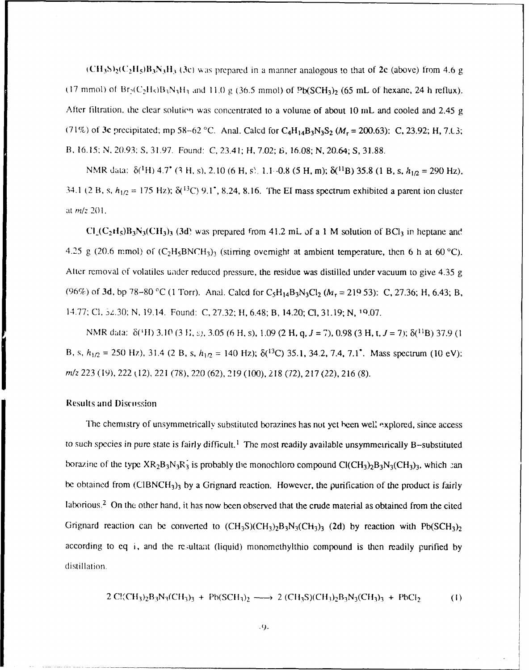$\rm (CH_3S)_2 (C_2H_5)B_3N_3H_3$  (3c) was prepared in a manner analogous to that of 2c (above) from 4.6 g (17 mmol) of  $Br_2(C_2H_5)B_3N_3H_3$  and 11.0 g (36.5 mmol) of  $Pb(SCH_3)_2$  (65 mL of hexane, 24 h reflux). After filtration, the clear solutien was concentrated to a volume of about 10 mL and cooled and 2.45 g (71%) of 3c precipitated; mp 58-62 °C. Anal. Calcd for  $C_4H_{14}B_3N_3S_2$  ( $M_r = 200.63$ ): C, 23.92; H, 7.L3; **B,** 16.15: N, 20.93: S, 31.97. Found: C, 23.41; H, 7.02; *6,* 16.08; **N,** 20.64; S, 31.88.

NMR data:  $\delta$ <sup>(1</sup>H) 4.7<sup>\*</sup> (3 H, s), 2.10 (6 H, s), 1.1 -0.8 (5 H, m);  $\delta$ <sup>(11</sup>B) 35.8 (1 B, s,  $h_{1/2} = 290$  Hz), 34.1 (2 B, s,  $h_{1/2} = 175$  Hz);  $\delta$ <sup>(3</sup>C) 9.1<sup>\*</sup>, 8.24, 8.16. The EI mass spectrum exhibited a parent ion cluster at m/z 201.

 $Cl_2(C_2H_5)B_3N_3(CH_3)$  (3d) was prepared from 41.2 mL of a 1 M solution of BCl<sub>3</sub> in heptane and 4.25 g (20.6 mmol) of  $(C_2H_5BNCH_3)$ <sub>3</sub> (stirring overnight at ambient temperature, then 6 h at 60 °C). Alter removal of volatiles uader reduced pressure, the residue was distilled under vacuum to give 4.35 g (96%) of **3d,** bp 78-80 °C (1 Torr). Anal. Calcd for C<sub>5</sub>H<sub>14</sub>B<sub>3</sub>N<sub>3</sub>Cl<sub>2</sub> ( $M_r = 219.53$ ): C, 27.36; H, 6.43; B, 14.77: **Cl,** 3z.30; N, 19.14. Found: **C,** 27.32; H, 6.48; B, 14.20; **Cl,** 31.19; N, 10.07.

NMR data: **6(111)** 3.10 (3 **1;, ),** 3.05 (6 H, s), 1.09 (2 H, *q,J* = 7), 0.98 (3 H, t,J= 7); 6(1iB) 37.9 (1 B, s,  $h_{1/2}$  = 250 Hz), 31.4 (2 B, s,  $h_{1/2}$  = 140 Hz);  $\delta(^{13}C)$  35.1, 34.2, 7.4, 7.1<sup>\*</sup>. Mass spectrum (10 eV): *m*/z 223 (19), 222 (12), 221 (78), 220 (62), 219 (100), 218 (72), 217 (22), 216 (8).

#### **Results and Discussion**

The chemistry of unsymmetrically substituted borazines has not yet been well explored, since access to such species in pure state is fairly difficult.<sup>1</sup> The most readily available unsymmetrically B-substituted borazine of the type  $XR_2B_3N_3R_3$  is probably the monochloro compound  $ClCH_3)_2B_3N_3(CH_3)_3$ , which can be obtained from  $(CIBNCH_3)$ <sub>3</sub> by a Grignard reaction. However, the purification of the product is fairly laborious.2 On the other hand, it has now been observed that the crude material as obtained from the cited Grignard reaction can be converted to  $(CH_3S)(CH_3)_2B_3N_3(CH_3)_3$  (2d) by reaction with Pb(SCH<sub>3</sub>)<sub>2</sub> according to eq i, and the rc.ultant (liquid) monomethylthio compound is then readily purified by distillation.

$$
2 \text{ Cl}(CH_3)_2B_3N_3(CH_3)_3 + \text{Pb}(SCH_3)_2 \longrightarrow 2 \text{ (CH}_3S)(CH_3)_2B_3N_3(CH_3)_3 + \text{PbCl}_2 \tag{1}
$$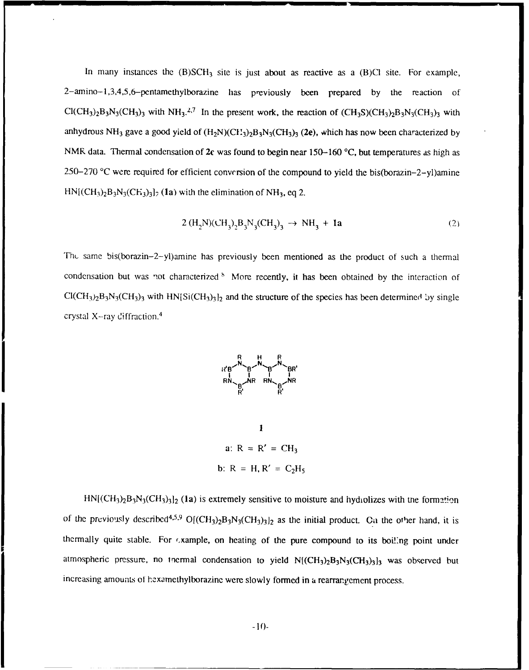In many instances the  $(B)SCH_3$  site is just about as reactive as a  $(B)Cl$  site. For example, 2-amino-1,3,4,5,6-pentamethylborazine has previously been prepared by the reaction of  $Cl(CH_3)_2B_3N_3(CH_3)_3$  with NH<sub>3</sub>.<sup>2,7</sup> In the present work, the reaction of  $(CH_3S)(CH_3)_2B_3N_3(CH_3)_3$  with anhydrous NH<sub>3</sub> gave a good yield of  $(H_2N)(CH_3)_2B_3N_3(CH_3)_3$  (2e), which has now been characterized by NMR data. Thermal condensation of 2c was found to begin near 150-160 **'C,** but temperatures as high as 250-270 **'C** were required for efficient conversion of the compound to yield the bis(borazin-2-yl)amine  $HN[(CH<sub>3</sub>)<sub>2</sub>B<sub>3</sub>N<sub>3</sub>(CH<sub>3</sub>)<sub>3</sub>]$ <sub>2</sub> (1a) with the elimination of NH<sub>3</sub>, eq 2.

$$
2 \, (H_2N)(CH_3)_2 B_3 N_3(CH_3)_3 \rightarrow NH_3 + 1a \tag{2}
$$

The same bis(borazin-2-yl)amine has previously been mentioned as the product of such a thermal condensation but was not characterized <sup>8</sup> More recently, it has been obtained by the interaction of  $Cl(CH_3)_2B_3N_3(CH_3)_3$  with HN $[Si(CH_3)_3]_2$  and the structure of the species has been determined by single crystal X-ray diffraction. <sup>4</sup>



 $\mathbf{I}$ a:  $R = R' = CH_3$ b:  $R = H, R' = C_2H_5$ 

 $HN[(CH<sub>3</sub>)<sub>2</sub>B<sub>3</sub>N<sub>3</sub>(CH<sub>3</sub>)<sub>3</sub>]$ <sub>2</sub> (1a) is extremely sensitive to moisture and hydiolizes with the formation of the previously described<sup>4,5,9</sup> O[(CH<sub>3</sub>)<sub>2</sub>B<sub>3</sub>N<sub>3</sub>(CH<sub>3</sub>)<sub>2</sub>]<sub>2</sub> as the initial product. Ca the other hand, it is thermally quite stable. For example, on heating of the pure compound to its boiling point under atmospheric pressure, no tnermal condensation to yield  $N[(CH_3)_2B_3N_3(CH_3)_3]$ <sub>3</sub> was observed but increasing amounts of hexamethylborazine were slowly formed in a rearrangement process.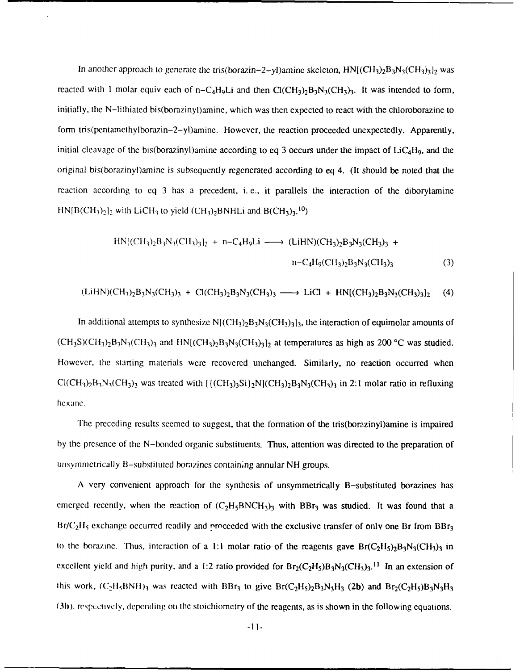In another approach to generate the tris(borazin–2-yl)amine skeleton,  $HN[(CH_3)_2B_3N_3(CH_3)_3]_2$  was reacted with 1 molar equiv each of  $n - C_4H_9L$  and then  $Cl(CH_3)_2B_3N_3(CH_3)_3$ . It was intended to form, initially, the N-lithiated bis(borazinyl)amine, which was then expected to react with the chloroborazine to form tris(pentamethylborazin-2-yl)amine. However, the reaction proceeded unexpectedly. Apparently, initial cleavage of the bis(borazinyl)amine according to eq 3 occurs under the impact of  $LiC<sub>4</sub>H<sub>9</sub>$ , and the original bis(borazinyl)amine is subsequently regenerated according to eq 4. (It should be noted that the reaction according to eq 3 has a precedent, i.e., it parallels the interaction of the diborylamine  $HN[ B(CH_3)_2]_2$  with LiCH<sub>3</sub> to yield (CH<sub>3</sub>)<sub>2</sub>BNHLi and B(CH<sub>3</sub>)<sub>3</sub>.<sup>10</sup>)

$$
HN[(CH_3)_2B_3N_3(CH_3)_3]_2 + n-C_4H_9Li \longrightarrow (LiHN)(CH_3)_2B_3N_3(CH_3)_3 + n-C_4H_9(CH_3)_2B_3N_3(CH_3)_3
$$
 (3)

 $(LiHN)(CH_3)_2B_3N_3(CH_3)_3 + Cl(CH_3)_2B_3N_3(CH_3)_3 \longrightarrow LiCl + HN[(CH_3)_2B_3N_3(CH_3)_3]_2$  (4)

In additional attempts to synthesize  $N[(CH_3)_2B_3N_3(CH_3)_3]_3$ , the interaction of equimolar amounts of  $(CH_3S)(CH_3)_2B_3N_3(CH_3)_3$  and  $HN[(CH_3)_2B_3N_3(CH_3)_3]_2$  at temperatures as high as 200 °C was studied. However, the starting materials were recovered unchanged. Similarly, no reaction occurred when  $ClCH_3\rangle_2B_3N_3CH_3$ )<sub>3</sub> was treated with  $[{(CH_3)_3Si)_2N_3(CH_3)_2B_3N_3(CH_3)_3}$  in 2:1 molar ratio in refluxing hex ane.

The preceding results seemed to suggest, that the formation of the tris(borazinyl)amine is impaired by the presence of the N-bonded organic substituents. Thus, attention was directed to the preparation of unsymmetrically B-substituted borazines containing annular NH groups.

A very convenient approach for the synthesis of unsymmetrically B-substituted borazines has emerged recently, when the reaction of  $(C_2H_5BNCH_3)_3$  with BBr<sub>3</sub> was studied. It was found that a Br/C<sub>2</sub>H<sub>5</sub> exchange occurred readily and nroceeded with the exclusive transfer of only one Br from BBr<sub>3</sub> to the borazine. Thus, interaction of a 1:1 molar ratio of the reagents gave  $Br(C_2H_5)Br_3N_3(CH_3)$  in excellent yield and high purity, and a 1:2 ratio provided for  $Br_2(C_2H_5)B_3N_3CH_3)$ <sup>11</sup> In an extension of this work,  $(C_2H_5BNH)_3$  was reacted with BBr<sub>3</sub> to give Br( $C_2H_5$ ) $B_3N_3H_3$  (2b) and Br<sub>2</sub>( $C_2H_5$ ) $B_3N_3H_3$ (3h), respctlvely, depending ot the stoichiometry of the reagents, as is shown in the following equations.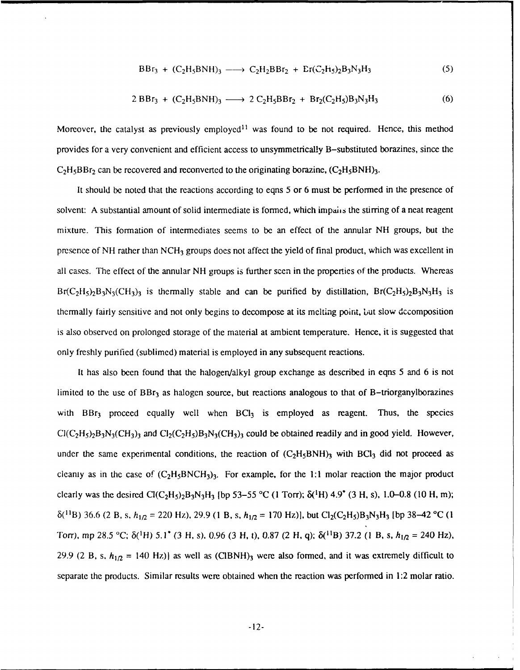$$
BBr_3 + (C_2H_5BNH)_3 \longrightarrow C_2H_2BBr_2 + Er(C_2H_5)_2B_3N_3H_3
$$
 (5)

$$
2 BBr3 + (C2H5BNH)3 \longrightarrow 2 C2H5BBr2 + Br2(C2H5)B3N3H3
$$
 (6)

Moreover, the catalyst as previously employed<sup>11</sup> was found to be not required. Hence, this method provides for a very convenient and efficient access to unsymmetrically B-substituted borazines, since the  $C_2H_5BBr_2$  can be recovered and reconverted to the originating borazine,  $(C_2H_5BNH)_3$ .

It should be noted that the reactions according to eqns 5 or 6 must be performed in the presence of solvent: A substantial amount of solid intermediate is formed, which impairs the stirring of a neat reagent mixture. This formation of intermediates seems to be an effect of the annular NH groups, but the presence of NH rather than NCH<sub>3</sub> groups does not affect the yield of final product, which was excellent in all cases. The effect of the annular NH groups is further seen in the properties of the products. Whereas  $Br(C_2H_5)_2B_3N_3(CH_3)_3$  is thermally stable and can be purified by distillation,  $Br(C_2H_5)_2B_3N_3H_3$  is thermally fairly sensitive and not only begins to decompose at its melting point, but slow decomposition is also observed on prolonged storage of the material at ambient temperature. Hence, it is suggested that only freshly purified (sublimed) material is employed in any subsequent reactions.

It has also been found that the halogen/alkyl group exchange as described in eqns 5 and 6 is not limited to the use of  $BBr<sub>3</sub>$  as halogen source, but reactions analogous to that of B-triorganylborazines with  $BBr<sub>3</sub>$  proceed equally well when  $BCl<sub>3</sub>$  is employed as reagent. Thus, the species  $Cl(C_2H_5)_2B_3N_3(CH_3)_3$  and  $Cl_2(C_2H_5)B_3N_3(CH_3)_3$  could be obtained readily and in good yield. However, under the same experimental conditions, the reaction of  $(C_2H_5BNH)_3$  with BCl<sub>3</sub> did not proceed as cleanly as in the case of  $(C_2H_5BNCH_3)$ <sub>3</sub>. For example, for the 1:1 molar reaction the major product clearly was the desired  $Cl(C_2H_5)_2B_3N_3H_3$  [bp 53-55 °C (1 Torr);  $\delta(^1H)$  4.9° (3 H, s), 1.0-0.8 (10 H, m);  $\delta^{(11)}B$ ) 36.6 (2 B, s,  $h_{1/2}$  = 220 Hz), 29.9 (1 B, s,  $h_{1/2}$  = 170 Hz)], but Cl<sub>2</sub>(C<sub>2</sub>H<sub>5</sub>)B<sub>3</sub>N<sub>3</sub>H<sub>3</sub> [bp 38–42 °C (1 Torr), mp 28.5 °C;  $\delta$ <sup>(1</sup>H) 5.1\* (3 H, s), 0.96 (3 H, t), 0.87 (2 H, q);  $\delta$ <sup>(11</sup>B) 37.2 (1 B, s,  $h_{1/2}$  = 240 Hz), 29.9 (2 B, s,  $h_{1/2}$  = 140 Hz)] as well as (CIBNH)<sub>3</sub> were also formed, and it was extremely difficult to separate the products. Similar results were obtained when the reaction was performed in 1:2 molar ratio.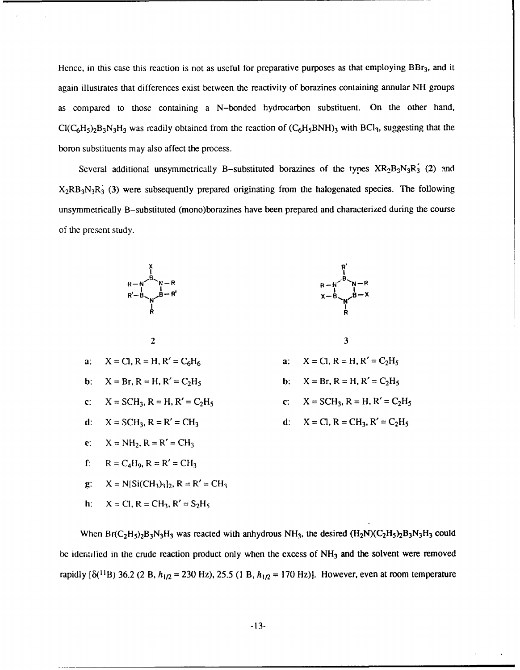Hence, in this case this reaction is not as useful for preparative purposes as that employing  $BBr_3$ , and it again illustrates that differences exist between the reactivity of borazines containing annular NH groups as compared to those containing a N-bonded hydrocarbon substituent. On the other hand,  $Cl(C_6H_5)_2B_3N_3H_3$  was readily obtained from the reaction of  $(C_6H_5BNH)_3$  with BCI<sub>3</sub>, suggesting that the boron substituents may also affect the process.

Several additional unsymmetrically B-substituted borazines of the types  $XR_2B_3N_3R_3$  (2) and  $X_2RB_3N_3R_3$  (3) were subsequently prepared originating from the halogenated species. The following unsymmetrically B-substituted (mono)borazines have been prepared and characterized during the course of the present study.





$$
\mathbf{3}^{\prime}
$$

- 
- 
- 

$$
\ldots \ldots \ldots \ldots
$$

g: 
$$
X = N[Si(CH_3)_3]_2
$$
,  $R = R' = CH_3$ 

h: 
$$
X = CI, R = CH_3, R' = S_2H_5
$$

When  $Br(C_2H_5)_2B_3N_3H_3$  was reacted with anhydrous NH<sub>3</sub>, the desired  $(H_2N)(C_2H_5)_2B_3N_3H_3$  could be identified in the crude reaction product only when the excess of  $NH<sub>3</sub>$  and the solvent were removed rapidly  $\{\delta^{(11)}_1B\}$  36.2 (2 B,  $h_{1/2} = 230$  Hz), 25.5 (1 B,  $h_{1/2} = 170$  Hz)]. However, even at room temperature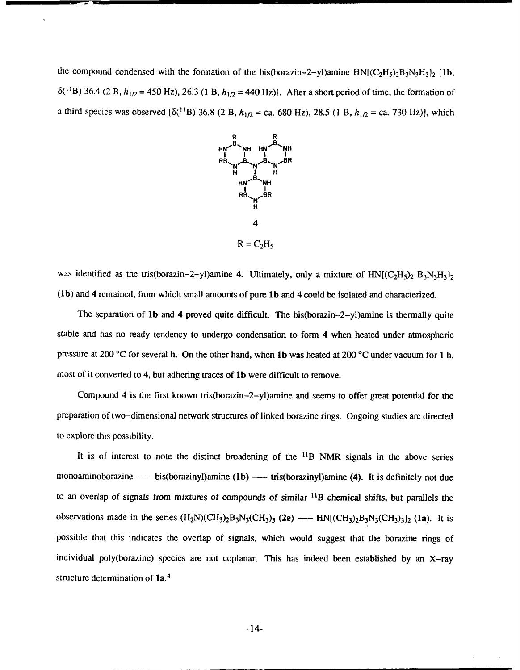the compound condensed with the formation of the bis(borazin-2-yl)amine  $HN[(C<sub>2</sub>H<sub>5</sub>)<sub>2</sub>B<sub>3</sub>N<sub>3</sub>H<sub>3</sub>]$ <sub>2</sub> [1b,  $\delta^{(11)}$ B) 36.4 (2 B,  $h_{1/2}$  = 450 Hz), 26.3 (1 B,  $h_{1/2}$  = 440 Hz)]. After a short period of time, the formation of a third species was observed  $[\delta(1^1B) 36.8 (2 B, h_{1/2} = ca. 680 Hz)$ , 28.5 (1 B,  $h_{1/2} = ca. 730 Hz$ ), which



was identified as the tris(borazin-2-yl)amine 4. Ultimately, only a mixture of  $HN[(C_2H_5)_2 B_3N_3H_3]_2$ (1b) and 4 remained, from which small amounts of pure lb and 4 could be isolated and characterized.

The separation of lb and 4 proved quite difficult. The bis(borazin-2-yl)amine is thermally quite stable and has no ready tendency to undergo condensation to form 4 when heated under atmospheric pressure at 200 **'C** for several h. On the other hand, when lb was heated at 200 °C under vacuum for **I** h, most of it converted to 4, but adhering traces of lb were difficult to remove.

Compound 4 is the first known tris(borazin-2-yl)amine and seems to offer great potential for the preparation of two-dimensional network structures of linked borazine rings. Ongoing studies are directed to explore this possibility.

It is of interest to note the distinct broadening of the  $^{11}B$  NMR signals in the above series monoaminoborazine --- bis(borazinyl)amine (1b) --- tris(borazinyl)amine (4). It is definitely not due to an overlap of signals from mixtures of compounds of similar *"1B* chemical shifts, but parallels the observations made in the series  $(H_2N)(CH_3)_2B_3N_3(CH_3)_3$  (2e) ---  $HN[(CH_3)_2B_3N_3(CH_3)_3]_2$  (1a). It is possible that this indicates the overlap of signals, which would suggest that the borazine rings of individual poly(borazine) species are not coplanar. This has indeed been established by an X-ray structure determination of **la. <sup>4</sup>**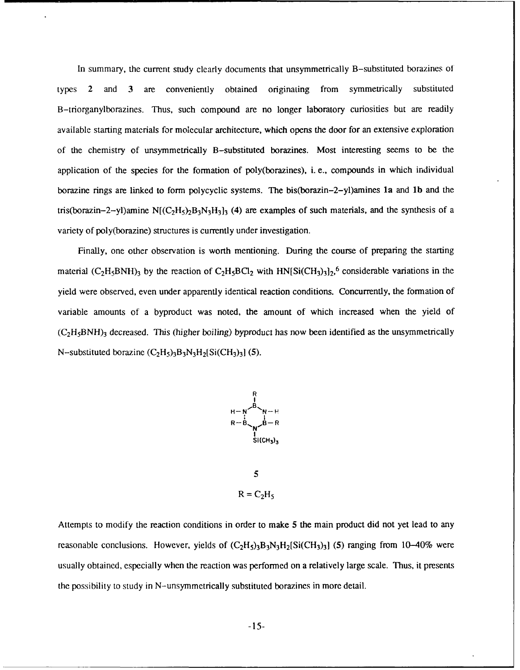In summary, the current study clearly documents that unsymmetrically B-substituted borazines of types 2 and **3** are conveniently obtained originating from symmetrically substituted B-triorganylborazines. Thus, such compound are no longer laboratory curiosities but are readily available starting materials for molecular architecture, which opens the door for an extensive exploration of the chemistry of unsymmetrically B-substituted borazines. Most interesting seems to be the application of the species for the formation of poly(borazines), i. e., compounds in which individual borazine rings are linked to form polycyclic systems. The bis(borazin-2-yl)amines la and **lb** and the tris(borazin–2–yl)amine  $N[(C_2H_5)_2B_3N_3H_3]_3$  (4) are examples of such materials, and the synthesis of a variety of poly(borazine) structures is currently under investigation.

Finally, one other observation is worth mentioning. During the course of preparing the starting material  $(C_2H_5BNH)_3$  by the reaction of  $C_2H_5BCl_2$  with  $HN[Si(CH_3)_3]_2$ , 6 considerable variations in the yield were observed, even under apparently identical reaction conditions. Concurrently, the formation of variable amounts of a byproduct was noted, the amount of which increased when the yield of  $(C<sub>2</sub>H<sub>5</sub>BNH)<sub>3</sub>$  decreased. This (higher boiling) byproduct has now been identified as the unsymmetrically N-substituted borazine  $(C_2H_5)$ <sub>3</sub>B<sub>3</sub>N<sub>3</sub>H<sub>2</sub>[Si(CH<sub>3</sub>)<sub>3</sub>] (5).



 $R = C_2H_5$ 

Attempts to modify the reaction conditions in order to make 5 the main product did not yet lead to any reasonable conclusions. However, yields of  $(C_2H_5)_3B_3N_3H_2[Si(CH_3)_3]$  (5) ranging from 10-40% were usually obtained, especially when the reaction was performed on a relatively large scale. Thus, it presents the possibility to study in N-unsymmetrically substituted borazines in more detail.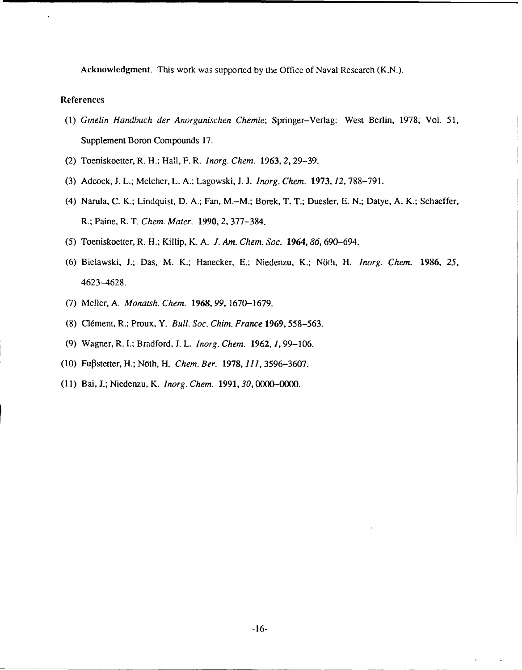Acknowledgment. This work was supported **by** the Office of Naval Research **(K.N.).**

## References

- *(1) Gmelin Handbuch der Anorganischen Chemie;* Springer-Verlag: West Berlin, **1978;** Vol. **51,** Supplement Boron Compounds **17.**
- (2) Toeniskoetter, R. H.; Hall, F. R. *Inorg. Chem. 1963,* **2, 29-39.**
- **(3)** Adcock, **J.** L.; Meicher, L. **A.,** Lagowski, **J. J.** *Inorg. Chem.* **1973,** *12,* **788-791.**
- (4) Narula, **C.** K.;, Lindquist, **D. A.;** Fan, M.-M.; Borek, T. T., Duesler, **E. N.;** Datye, **A.** K.; Schaeffer, R.; Paine, R. T. *Chem. Mater.* **1990,** *2,* **377-384.**
- **(5)** Toeniskoetter, R. H.; Killip, K. **A.** *J. Am. Chem. Soc. 1964, 86, 690-694.*
- (6) Bielawski, J.; Das, M. K.; Hanecker, E.; Niedenzu, K.; Nöth, H. *Inorg. Chem.* 1986, 25, 4623-4628.
- **(7)** Meller, **A.** *Monatsh. Chem.* **1968, 99, 1670-1679.**
- **(8)** Cldment, R.; Proux, Y. *Bull. Soc. Chim. France* **1969, 558-563.**
- **(9)** Wagner, R. **I.;** Bradford, **J.** L. *!norg. Chem.* **1962,** *1,* **99-106.**
- **(10)** Fujpstetter, H.; NOth, H. *Chem. Ber.* **1978,** *111,* **3596-3607.**
- **(11)** Bal, **J.;** Niedenzu, K. *Inorg. Chem. 1991, 30, 0000-000.*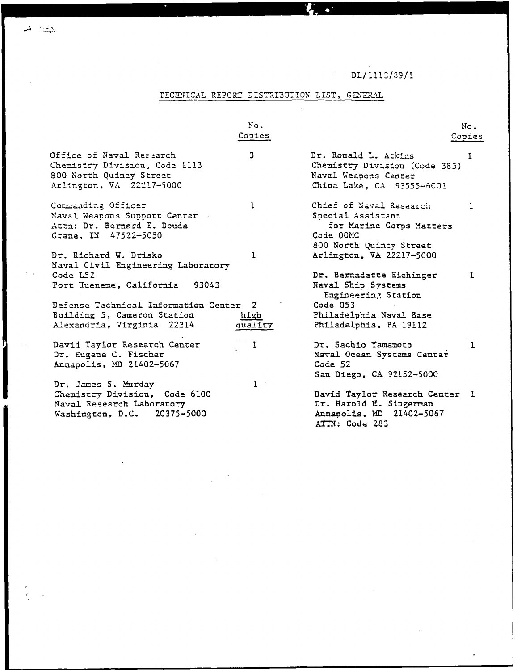$DL/1113/89/1$ 

# TECHNICAL REPORT DISTRIBUTION LIST, GENERAL

Ł.  $\bullet$ 

|                                                                                                                  | No.             |                                                                                                                  | No.    |
|------------------------------------------------------------------------------------------------------------------|-----------------|------------------------------------------------------------------------------------------------------------------|--------|
|                                                                                                                  | Copies          |                                                                                                                  | Copies |
| Office of Naval Research<br>Chemistry Division, Code 1113<br>800 North Quincy Street<br>Arlington, VA 22217-5000 | 3               | Dr. Ronald L. Atkins<br>Chemistry Division (Code 385)<br>Naval Weapons Center<br>China Lake, CA 93555-6001       | 1      |
| Commanding Officer<br>Naval Weapons Support Center.<br>Attn: Dr. Bernard E. Douda<br>Crane, IN 47522-5050        | $\mathbf{1}$    | Chief of Naval Research<br>Special Assistant<br>for Marine Corps Matters<br>Code 00MC<br>800 North Quincy Street | 1      |
| Dr. Richard W. Drisko<br>Naval Civil Engineering Laboratory                                                      | $\mathbf{1}$    | Arlington, VA 22217-5000                                                                                         |        |
| Code L52<br>Port Hueneme, California<br>93043<br>Defense Technical Information Center 2                          |                 | Dr. Bernadette Eichinger<br>Naval Ship Systems<br>Engineering Station<br>Code 053                                | 1      |
| Building 5, Cameron Station<br>Alexandria, Virginia 22314                                                        | high<br>quality | Philadelphia Naval Base<br>Philadelphia, PA 19112                                                                |        |
| David Taylor Research Center<br>Dr. Eugene C. Fischer<br>Annapolis, MD 21402-5067                                | ı               | Dr. Sachio Yamamoto<br>Naval Ocean Systems Center<br>Code 52<br>San Diego, CA 92152-5000                         | 1      |
| Dr. James S. Murday<br>Chemistry Division, Code 6100<br>Naval Research Laboratory<br>Washington, D.C. 20375-5000 | 1               | David Taylor Research Center<br>Dr. Harold H. Singerman<br>Annapolis, MD 21402-5067<br>ATTN: Code 283            | -1     |

 $\mathbf{A}$  and

Ŋ